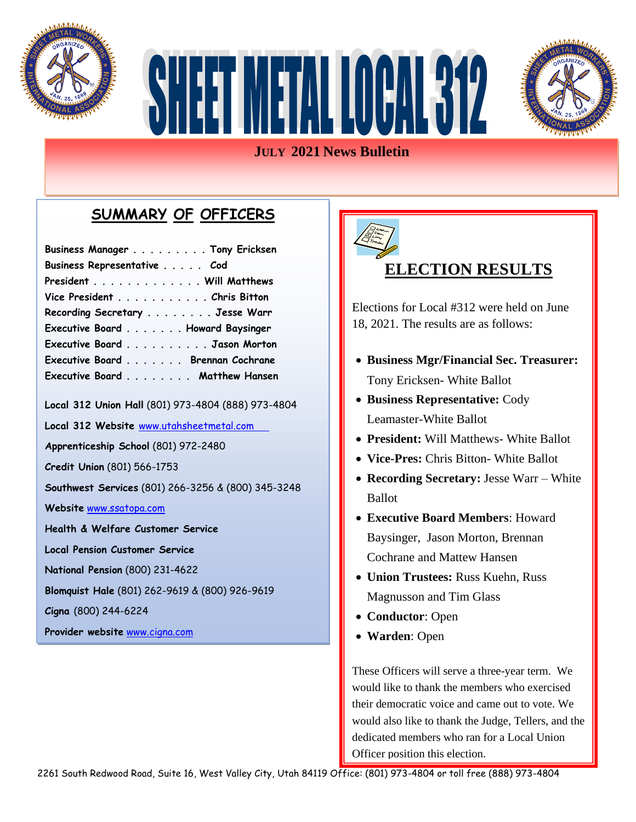



#### **JULY 2021 News Bulletin**

#### **SUMMARY OF OFFICERS**

| Business Manager Tony Ericksen                     |
|----------------------------------------------------|
| Business Representative Cod                        |
| President Will Matthews                            |
| Vice President Chris Bitton                        |
| Recording Secretary Jesse Warr                     |
| Executive Board Howard Baysinger                   |
| Executive Board Jason Morton                       |
| Executive Board Brennan Cochrane                   |
| Executive Board Matthew Hansen                     |
| Local 312 Union Hall (801) 973-4804 (888) 973-4804 |
| Local 312 Website www.utahsheetmetal.com           |
| Apprenticeship School (801) 972-2480               |
| Credit Union (801) 566-1753                        |
| Southwest Services (801) 266-3256 & (800) 345-3248 |
| Website www.ssatopa.com                            |
| Health & Welfare Customer Service                  |
| <b>Local Pension Customer Service</b>              |
| National Pension (800) 231-4622                    |
| Blomquist Hale (801) 262-9619 & (800) 926-9619     |
| Cigna (800) 244-6224                               |
| Provider website www.cigna.com                     |



#### **ELECTION RESULTS**

Elections for Local #312 were held on June 18, 2021. The results are as follows:

- **Business Mgr/Financial Sec. Treasurer:** Tony Ericksen- White Ballot
- **Business Representative:** Cody Leamaster-White Ballot
- **President:** Will Matthews- White Ballot
- **Vice-Pres:** Chris Bitton- White Ballot
- • **Recording Secretary:** Jesse Warr White Ballot
- **Executive Board Members**: Howard Baysinger, Jason Morton, Brennan Cochrane and Mattew Hansen
- **Union Trustees:** Russ Kuehn, Russ Magnusson and Tim Glass
- **Conductor**: Open
- **Warden**: Open

These Officers will serve a three-year term. We would like to thank the members who exercised their democratic voice and came out to vote. We would also like to thank the Judge, Tellers, and the dedicated members who ran for a Local Union Officer position this election.